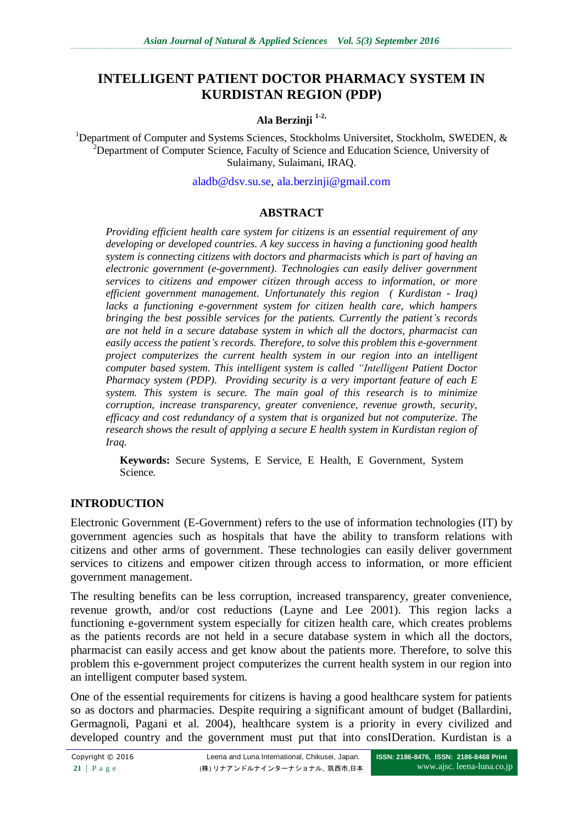# **INTELLIGENT PATIENT DOCTOR PHARMACY SYSTEM IN KURDISTAN REGION (PDP)**

#### **Ala Berzinji 1-2,**

<sup>1</sup>Department of Computer and Systems Sciences, Stockholms Universitet, Stockholm, SWEDEN,  $\&$ <sup>2</sup>Department of Computer Science, Faculty of Science and Education Science, University of Sulaimany, Sulaimani, IRAQ.

[aladb@dsv.su.se,](mailto:aladb@dsv.su.se) [ala.berzinji@gmail.com](mailto:ala.berzinji@gmail.com)

#### **ABSTRACT**

*Providing efficient health care system for citizens is an essential requirement of any developing or developed countries. A key success in having a functioning good health system is connecting citizens with doctors and pharmacists which is part of having an electronic government (e-government). Technologies can easily deliver government services to citizens and empower citizen through access to information, or more efficient government management. Unfortunately this region ( Kurdistan - Iraq) lacks a functioning e-government system for citizen health care, which hampers bringing the best possible services for the patients. Currently the patient's records are not held in a secure database system in which all the doctors, pharmacist can easily access the patient's records. Therefore, to solve this problem this e-government project computerizes the current health system in our region into an intelligent computer based system. This intelligent system is called "Intelligent Patient Doctor Pharmacy system (PDP). Providing security is a very important feature of each E system. This system is secure. The main goal of this research is to minimize corruption, increase transparency, greater convenience, revenue growth, security, efficacy and cost redundancy of a system that is organized but not computerize. The research shows the result of applying a secure E health system in Kurdistan region of Iraq.*

**Keywords:** Secure Systems, E Service, E Health, E Government, System Science.

#### **INTRODUCTION**

Electronic Government (E-Government) refers to the use of information technologies (IT) by government agencies such as hospitals that have the ability to transform relations with citizens and other arms of government. These technologies can easily deliver government services to citizens and empower citizen through access to information, or more efficient government management.

The resulting benefits can be less corruption, increased transparency, greater convenience, revenue growth, and/or cost reductions (Layne and Lee 2001). This region lacks a functioning e-government system especially for citizen health care, which creates problems as the patients records are not held in a secure database system in which all the doctors, pharmacist can easily access and get know about the patients more. Therefore, to solve this problem this e-government project computerizes the current health system in our region into an intelligent computer based system.

One of the essential requirements for citizens is having a good healthcare system for patients so as doctors and pharmacies. Despite requiring a significant amount of budget (Ballardini, Germagnoli, Pagani et al. 2004), healthcare system is a priority in every civilized and developed country and the government must put that into consIDeration. Kurdistan is a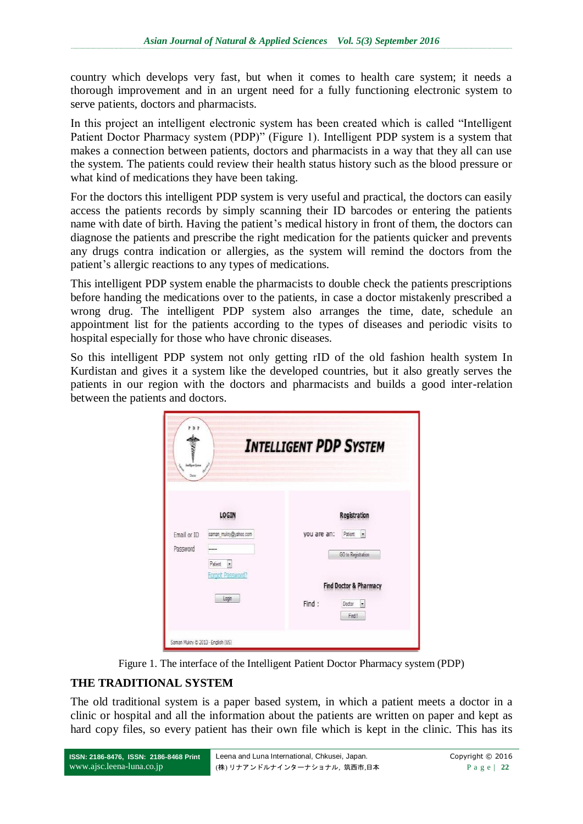country which develops very fast, but when it comes to health care system; it needs a thorough improvement and in an urgent need for a fully functioning electronic system to serve patients, doctors and pharmacists.

In this project an intelligent electronic system has been created which is called "Intelligent" Patient Doctor Pharmacy system (PDP)" (Figure 1). Intelligent PDP system is a system that makes a connection between patients, doctors and pharmacists in a way that they all can use the system. The patients could review their health status history such as the blood pressure or what kind of medications they have been taking.

For the doctors this intelligent PDP system is very useful and practical, the doctors can easily access the patients records by simply scanning their ID barcodes or entering the patients name with date of birth. Having the patient's medical history in front of them, the doctors can diagnose the patients and prescribe the right medication for the patients quicker and prevents any drugs contra indication or allergies, as the system will remind the doctors from the patient's allergic reactions to any types of medications.

This intelligent PDP system enable the pharmacists to double check the patients prescriptions before handing the medications over to the patients, in case a doctor mistakenly prescribed a wrong drug. The intelligent PDP system also arranges the time, date, schedule an appointment list for the patients according to the types of diseases and periodic visits to hospital especially for those who have chronic diseases.

So this intelligent PDP system not only getting rID of the old fashion health system In Kurdistan and gives it a system like the developed countries, but it also greatly serves the patients in our region with the doctors and pharmacists and builds a good inter-relation between the patients and doctors.

| PDP<br>inforder<br>Dote  | <b>INTELLIGENT PDP SYSTEM</b>     |
|--------------------------|-----------------------------------|
| <b>LOGIN</b>             | Registration                      |
| Email or ID              | Patient -                         |
| saman_mukry@yahoo.com    | you are an:                       |
| Password                 | GO to Registration                |
|                          | <b>Find Doctor &amp; Pharmacy</b> |
| Patient                  | Find:                             |
| $\overline{\phantom{a}}$ | Doctor                            |
| Forgot Password?         |                                   |
| Login                    | Fed!                              |



## **THE TRADITIONAL SYSTEM**

The old traditional system is a paper based system, in which a patient meets a doctor in a clinic or hospital and all the information about the patients are written on paper and kept as hard copy files, so every patient has their own file which is kept in the clinic. This has its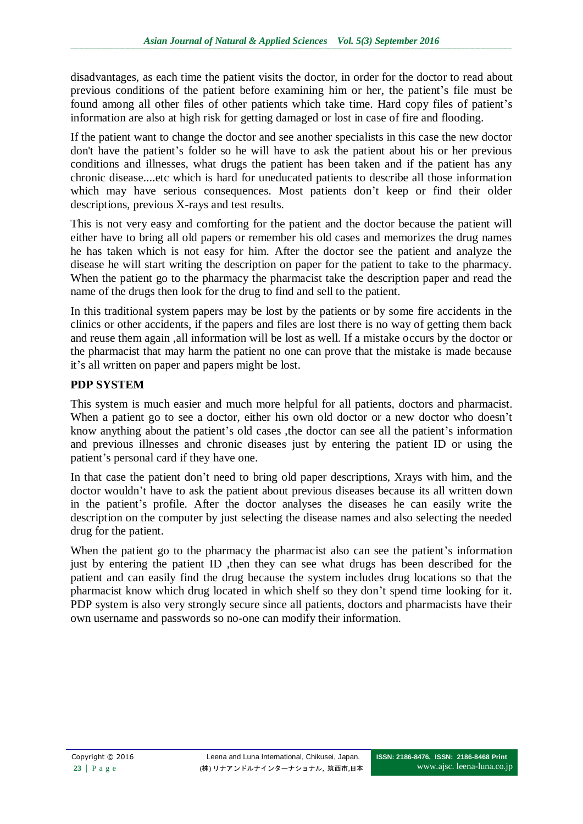disadvantages, as each time the patient visits the doctor, in order for the doctor to read about previous conditions of the patient before examining him or her, the patient's file must be found among all other files of other patients which take time. Hard copy files of patient's information are also at high risk for getting damaged or lost in case of fire and flooding.

If the patient want to change the doctor and see another specialists in this case the new doctor don't have the patient's folder so he will have to ask the patient about his or her previous conditions and illnesses, what drugs the patient has been taken and if the patient has any chronic disease....etc which is hard for uneducated patients to describe all those information which may have serious consequences. Most patients don't keep or find their older descriptions, previous X-rays and test results.

This is not very easy and comforting for the patient and the doctor because the patient will either have to bring all old papers or remember his old cases and memorizes the drug names he has taken which is not easy for him. After the doctor see the patient and analyze the disease he will start writing the description on paper for the patient to take to the pharmacy. When the patient go to the pharmacy the pharmacist take the description paper and read the name of the drugs then look for the drug to find and sell to the patient.

In this traditional system papers may be lost by the patients or by some fire accidents in the clinics or other accidents, if the papers and files are lost there is no way of getting them back and reuse them again ,all information will be lost as well. If a mistake occurs by the doctor or the pharmacist that may harm the patient no one can prove that the mistake is made because it's all written on paper and papers might be lost.

## **PDP SYSTEM**

This system is much easier and much more helpful for all patients, doctors and pharmacist. When a patient go to see a doctor, either his own old doctor or a new doctor who doesn't know anything about the patient's old cases ,the doctor can see all the patient's information and previous illnesses and chronic diseases just by entering the patient ID or using the patient's personal card if they have one.

In that case the patient don't need to bring old paper descriptions, Xrays with him, and the doctor wouldn't have to ask the patient about previous diseases because its all written down in the patient's profile. After the doctor analyses the diseases he can easily write the description on the computer by just selecting the disease names and also selecting the needed drug for the patient.

When the patient go to the pharmacy the pharmacist also can see the patient's information just by entering the patient ID ,then they can see what drugs has been described for the patient and can easily find the drug because the system includes drug locations so that the pharmacist know which drug located in which shelf so they don't spend time looking for it. PDP system is also very strongly secure since all patients, doctors and pharmacists have their own username and passwords so no-one can modify their information.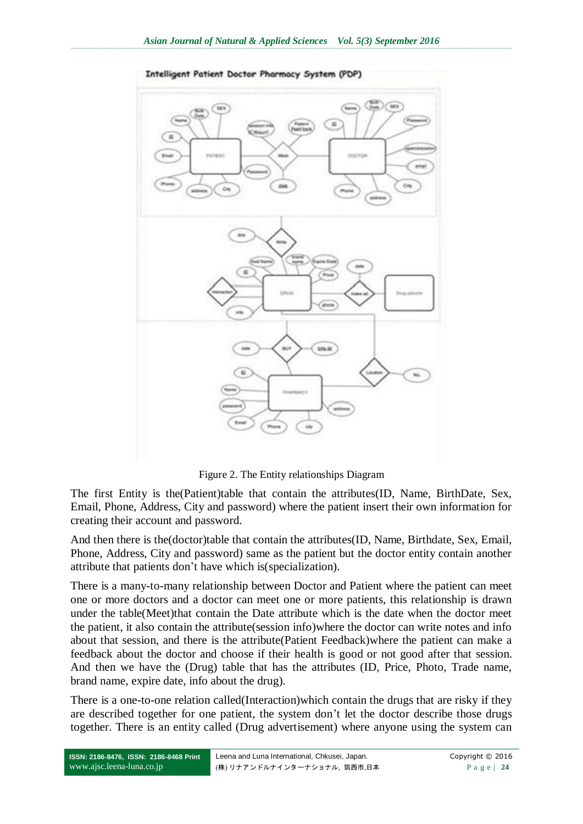

Figure 2. The Entity relationships Diagram

The first Entity is the(Patient)table that contain the attributes(ID, Name, BirthDate, Sex, Email, Phone, Address, City and password) where the patient insert their own information for creating their account and password.

And then there is the(doctor)table that contain the attributes(ID, Name, Birthdate, Sex, Email, Phone, Address, City and password) same as the patient but the doctor entity contain another attribute that patients don't have which is(specialization).

There is a many-to-many relationship between Doctor and Patient where the patient can meet one or more doctors and a doctor can meet one or more patients, this relationship is drawn under the table(Meet)that contain the Date attribute which is the date when the doctor meet the patient, it also contain the attribute(session info)where the doctor can write notes and info about that session, and there is the attribute(Patient Feedback)where the patient can make a feedback about the doctor and choose if their health is good or not good after that session. And then we have the (Drug) table that has the attributes (ID, Price, Photo, Trade name, brand name, expire date, info about the drug).

There is a one-to-one relation called(Interaction)which contain the drugs that are risky if they are described together for one patient, the system don't let the doctor describe those drugs together. There is an entity called (Drug advertisement) where anyone using the system can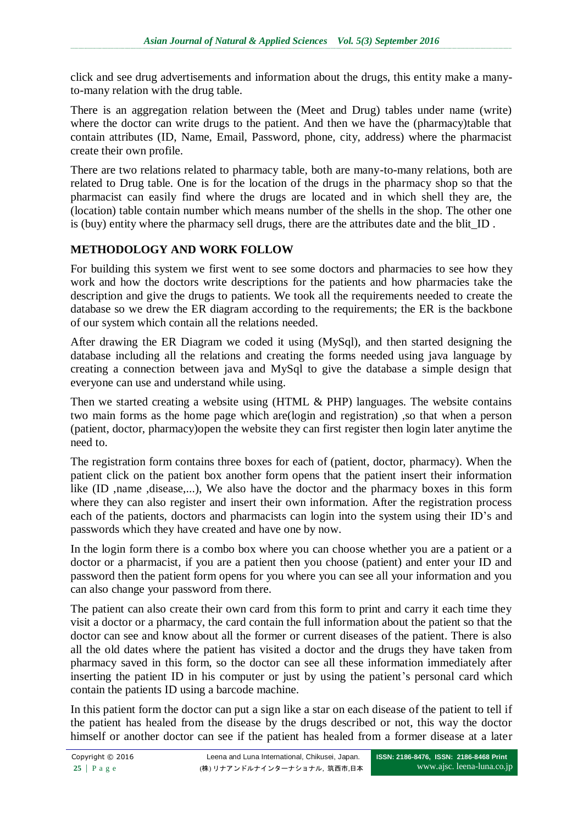click and see drug advertisements and information about the drugs, this entity make a manyto-many relation with the drug table.

There is an aggregation relation between the (Meet and Drug) tables under name (write) where the doctor can write drugs to the patient. And then we have the (pharmacy)table that contain attributes (ID, Name, Email, Password, phone, city, address) where the pharmacist create their own profile.

There are two relations related to pharmacy table, both are many-to-many relations, both are related to Drug table. One is for the location of the drugs in the pharmacy shop so that the pharmacist can easily find where the drugs are located and in which shell they are, the (location) table contain number which means number of the shells in the shop. The other one is (buy) entity where the pharmacy sell drugs, there are the attributes date and the blit\_ID .

## **METHODOLOGY AND WORK FOLLOW**

For building this system we first went to see some doctors and pharmacies to see how they work and how the doctors write descriptions for the patients and how pharmacies take the description and give the drugs to patients. We took all the requirements needed to create the database so we drew the ER diagram according to the requirements; the ER is the backbone of our system which contain all the relations needed.

After drawing the ER Diagram we coded it using (MySql), and then started designing the database including all the relations and creating the forms needed using java language by creating a connection between java and MySql to give the database a simple design that everyone can use and understand while using.

Then we started creating a website using (HTML & PHP) languages. The website contains two main forms as the home page which are(login and registration) ,so that when a person (patient, doctor, pharmacy)open the website they can first register then login later anytime the need to.

The registration form contains three boxes for each of (patient, doctor, pharmacy). When the patient click on the patient box another form opens that the patient insert their information like (ID , name , disease,...), We also have the doctor and the pharmacy boxes in this form where they can also register and insert their own information. After the registration process each of the patients, doctors and pharmacists can login into the system using their ID's and passwords which they have created and have one by now.

In the login form there is a combo box where you can choose whether you are a patient or a doctor or a pharmacist, if you are a patient then you choose (patient) and enter your ID and password then the patient form opens for you where you can see all your information and you can also change your password from there.

The patient can also create their own card from this form to print and carry it each time they visit a doctor or a pharmacy, the card contain the full information about the patient so that the doctor can see and know about all the former or current diseases of the patient. There is also all the old dates where the patient has visited a doctor and the drugs they have taken from pharmacy saved in this form, so the doctor can see all these information immediately after inserting the patient ID in his computer or just by using the patient's personal card which contain the patients ID using a barcode machine.

In this patient form the doctor can put a sign like a star on each disease of the patient to tell if the patient has healed from the disease by the drugs described or not, this way the doctor himself or another doctor can see if the patient has healed from a former disease at a later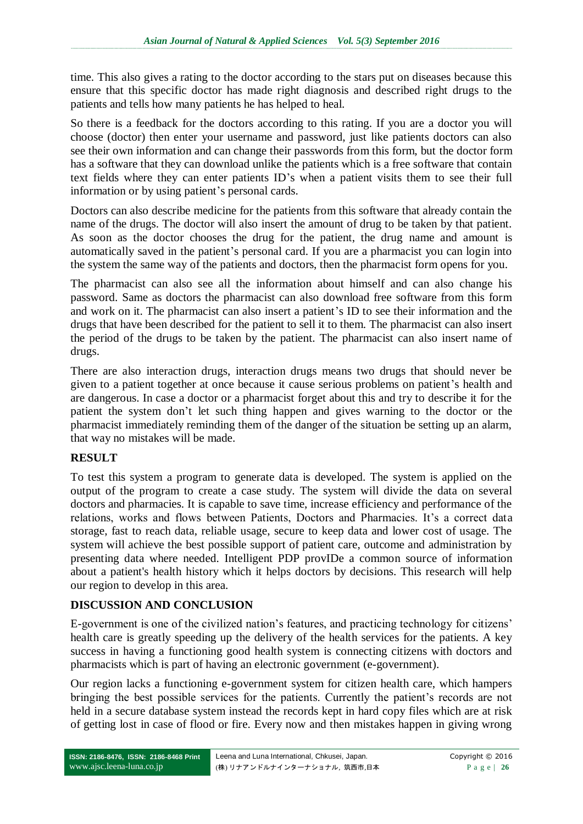time. This also gives a rating to the doctor according to the stars put on diseases because this ensure that this specific doctor has made right diagnosis and described right drugs to the patients and tells how many patients he has helped to heal.

So there is a feedback for the doctors according to this rating. If you are a doctor you will choose (doctor) then enter your username and password, just like patients doctors can also see their own information and can change their passwords from this form, but the doctor form has a software that they can download unlike the patients which is a free software that contain text fields where they can enter patients ID's when a patient visits them to see their full information or by using patient's personal cards.

Doctors can also describe medicine for the patients from this software that already contain the name of the drugs. The doctor will also insert the amount of drug to be taken by that patient. As soon as the doctor chooses the drug for the patient, the drug name and amount is automatically saved in the patient's personal card. If you are a pharmacist you can login into the system the same way of the patients and doctors, then the pharmacist form opens for you.

The pharmacist can also see all the information about himself and can also change his password. Same as doctors the pharmacist can also download free software from this form and work on it. The pharmacist can also insert a patient's ID to see their information and the drugs that have been described for the patient to sell it to them. The pharmacist can also insert the period of the drugs to be taken by the patient. The pharmacist can also insert name of drugs.

There are also interaction drugs, interaction drugs means two drugs that should never be given to a patient together at once because it cause serious problems on patient's health and are dangerous. In case a doctor or a pharmacist forget about this and try to describe it for the patient the system don't let such thing happen and gives warning to the doctor or the pharmacist immediately reminding them of the danger of the situation be setting up an alarm, that way no mistakes will be made.

# **RESULT**

To test this system a program to generate data is developed. The system is applied on the output of the program to create a case study. The system will divide the data on several doctors and pharmacies. It is capable to save time, increase efficiency and performance of the relations, works and flows between Patients, Doctors and Pharmacies. It's a correct data storage, fast to reach data, reliable usage, secure to keep data and lower cost of usage. The system will achieve the best possible support of patient care, outcome and administration by presenting data where needed. Intelligent PDP provIDe a common source of information about a patient's health history which it helps doctors by decisions. This research will help our region to develop in this area.

## **DISCUSSION AND CONCLUSION**

E-government is one of the civilized nation's features, and practicing technology for citizens' health care is greatly speeding up the delivery of the health services for the patients. A key success in having a functioning good health system is connecting citizens with doctors and pharmacists which is part of having an electronic government (e-government).

Our region lacks a functioning e-government system for citizen health care, which hampers bringing the best possible services for the patients. Currently the patient's records are not held in a secure database system instead the records kept in hard copy files which are at risk of getting lost in case of flood or fire. Every now and then mistakes happen in giving wrong